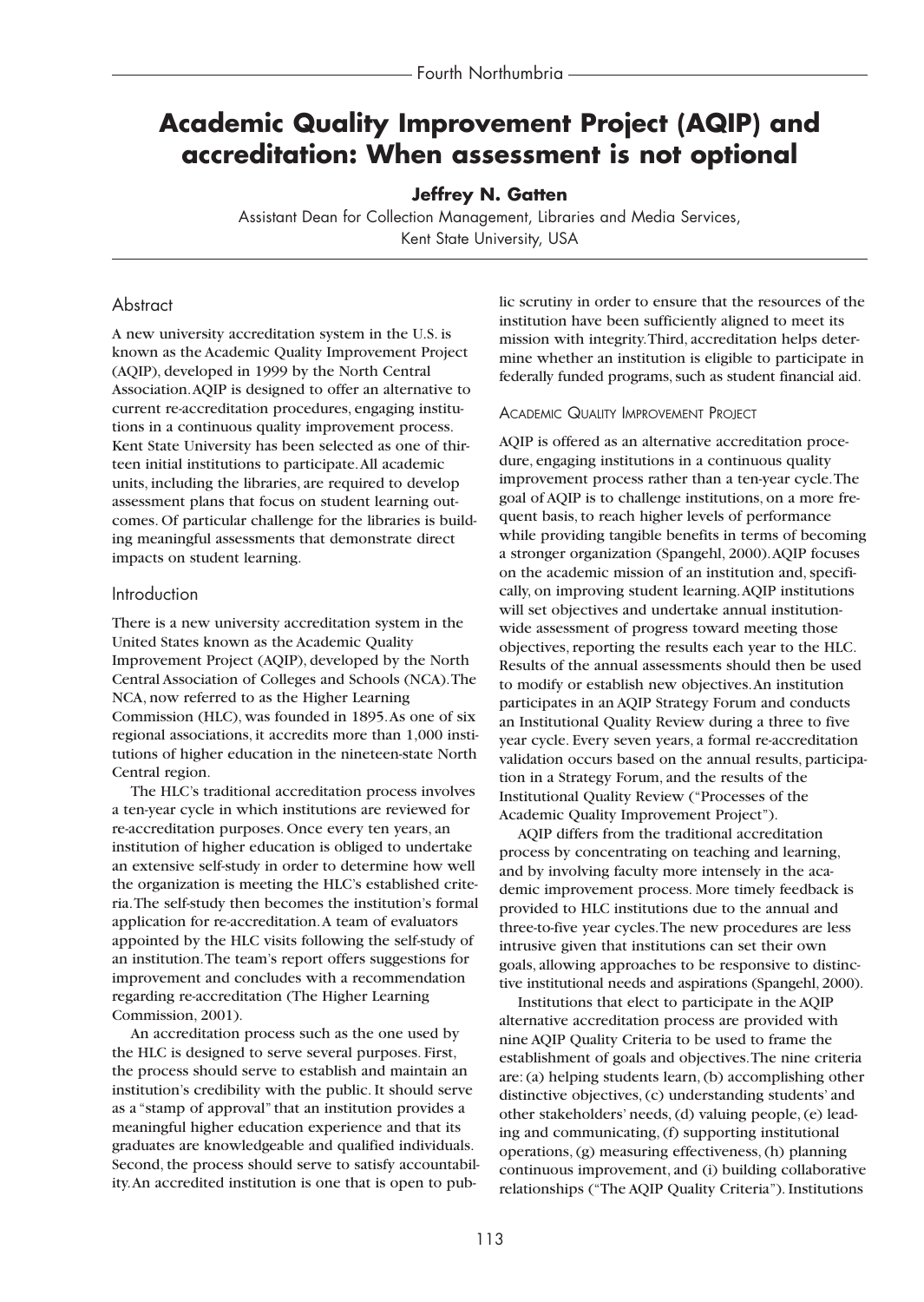# **Academic Quality Improvement Project (AQIP) and accreditation: When assessment is not optional**

## **Jeffrey N. Gatten**

Assistant Dean for Collection Management, Libraries and Media Services, Kent State University, USA

## **Abstract**

A new university accreditation system in the U.S. is known as the Academic Quality Improvement Project (AQIP), developed in 1999 by the North Central Association.AQIP is designed to offer an alternative to current re-accreditation procedures, engaging institutions in a continuous quality improvement process. Kent State University has been selected as one of thirteen initial institutions to participate.All academic units, including the libraries, are required to develop assessment plans that focus on student learning outcomes. Of particular challenge for the libraries is building meaningful assessments that demonstrate direct impacts on student learning.

## Introduction

There is a new university accreditation system in the United States known as the Academic Quality Improvement Project (AQIP), developed by the North Central Association of Colleges and Schools (NCA).The NCA, now referred to as the Higher Learning Commission (HLC), was founded in 1895.As one of six regional associations, it accredits more than 1,000 institutions of higher education in the nineteen-state North Central region.

The HLC's traditional accreditation process involves a ten-year cycle in which institutions are reviewed for re-accreditation purposes. Once every ten years, an institution of higher education is obliged to undertake an extensive self-study in order to determine how well the organization is meeting the HLC's established criteria.The self-study then becomes the institution's formal application for re-accreditation.A team of evaluators appointed by the HLC visits following the self-study of an institution.The team's report offers suggestions for improvement and concludes with a recommendation regarding re-accreditation (The Higher Learning Commission, 2001).

An accreditation process such as the one used by the HLC is designed to serve several purposes. First, the process should serve to establish and maintain an institution's credibility with the public. It should serve as a "stamp of approval" that an institution provides a meaningful higher education experience and that its graduates are knowledgeable and qualified individuals. Second, the process should serve to satisfy accountability.An accredited institution is one that is open to public scrutiny in order to ensure that the resources of the institution have been sufficiently aligned to meet its mission with integrity.Third, accreditation helps determine whether an institution is eligible to participate in federally funded programs, such as student financial aid.

## ACADEMIC QUALITY IMPROVEMENT PROJECT

AQIP is offered as an alternative accreditation procedure, engaging institutions in a continuous quality improvement process rather than a ten-year cycle.The goal of AQIP is to challenge institutions, on a more frequent basis, to reach higher levels of performance while providing tangible benefits in terms of becoming a stronger organization (Spangehl, 2000).AQIP focuses on the academic mission of an institution and, specifically, on improving student learning.AQIP institutions will set objectives and undertake annual institutionwide assessment of progress toward meeting those objectives, reporting the results each year to the HLC. Results of the annual assessments should then be used to modify or establish new objectives.An institution participates in an AQIP Strategy Forum and conducts an Institutional Quality Review during a three to five year cycle. Every seven years, a formal re-accreditation validation occurs based on the annual results, participation in a Strategy Forum, and the results of the Institutional Quality Review ("Processes of the Academic Quality Improvement Project").

AQIP differs from the traditional accreditation process by concentrating on teaching and learning, and by involving faculty more intensely in the academic improvement process. More timely feedback is provided to HLC institutions due to the annual and three-to-five year cycles.The new procedures are less intrusive given that institutions can set their own goals, allowing approaches to be responsive to distinctive institutional needs and aspirations (Spangehl, 2000).

Institutions that elect to participate in the AQIP alternative accreditation process are provided with nine AQIP Quality Criteria to be used to frame the establishment of goals and objectives.The nine criteria are: (a) helping students learn, (b) accomplishing other distinctive objectives, (c) understanding students' and other stakeholders' needs, (d) valuing people, (e) leading and communicating, (f) supporting institutional operations, (g) measuring effectiveness, (h) planning continuous improvement, and (i) building collaborative relationships ("The AQIP Quality Criteria"). Institutions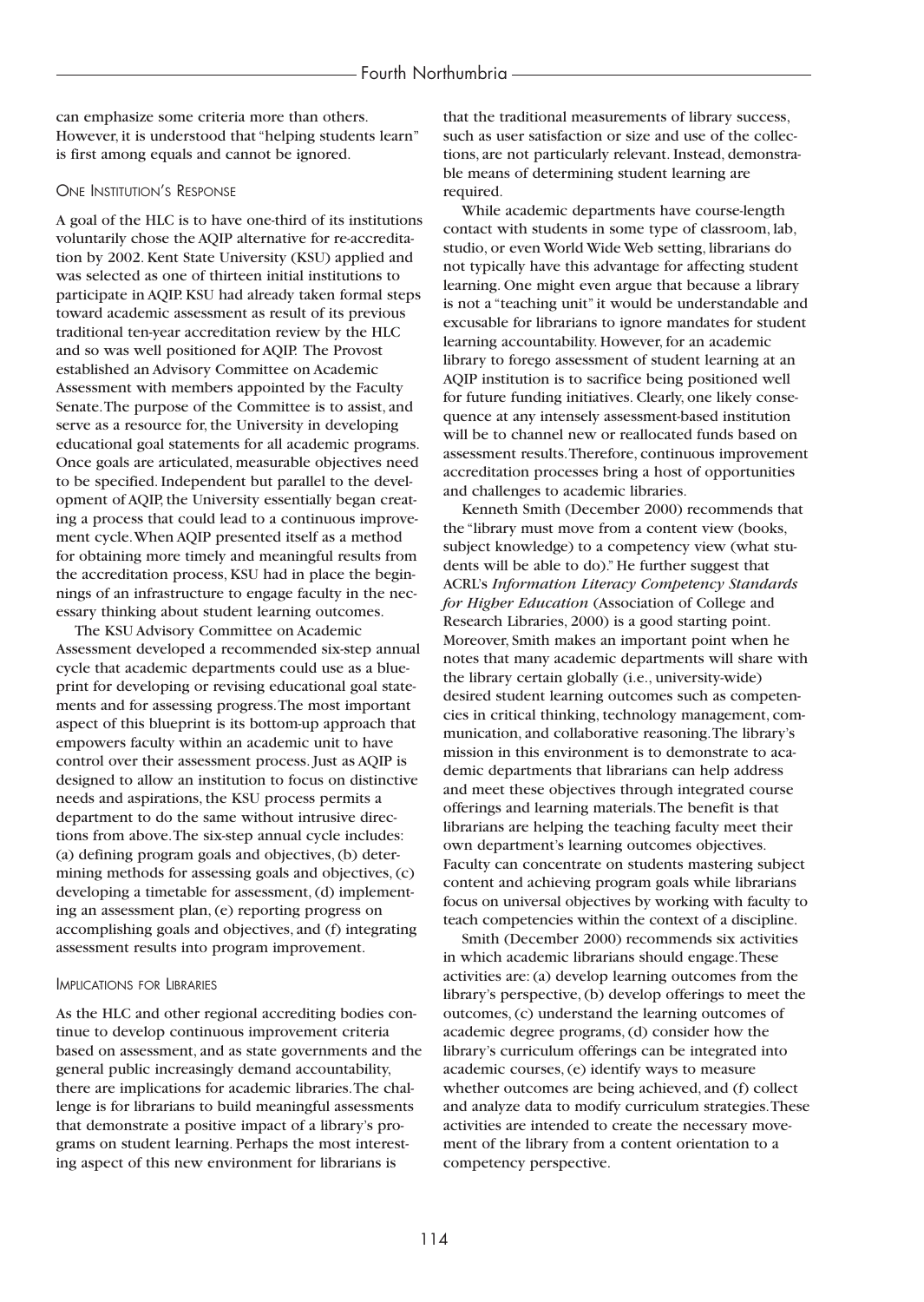can emphasize some criteria more than others. However, it is understood that "helping students learn" is first among equals and cannot be ignored.

#### ONE INSTITUTION'S RESPONSE

A goal of the HLC is to have one-third of its institutions voluntarily chose the AQIP alternative for re-accreditation by 2002. Kent State University (KSU) applied and was selected as one of thirteen initial institutions to participate in AQIP. KSU had already taken formal steps toward academic assessment as result of its previous traditional ten-year accreditation review by the HLC and so was well positioned for AQIP. The Provost established an Advisory Committee on Academic Assessment with members appointed by the Faculty Senate.The purpose of the Committee is to assist, and serve as a resource for, the University in developing educational goal statements for all academic programs. Once goals are articulated, measurable objectives need to be specified. Independent but parallel to the development of AQIP, the University essentially began creating a process that could lead to a continuous improvement cycle.When AQIP presented itself as a method for obtaining more timely and meaningful results from the accreditation process, KSU had in place the beginnings of an infrastructure to engage faculty in the necessary thinking about student learning outcomes.

The KSU Advisory Committee on Academic Assessment developed a recommended six-step annual cycle that academic departments could use as a blueprint for developing or revising educational goal statements and for assessing progress.The most important aspect of this blueprint is its bottom-up approach that empowers faculty within an academic unit to have control over their assessment process. Just as AQIP is designed to allow an institution to focus on distinctive needs and aspirations, the KSU process permits a department to do the same without intrusive directions from above.The six-step annual cycle includes: (a) defining program goals and objectives, (b) determining methods for assessing goals and objectives, (c) developing a timetable for assessment, (d) implementing an assessment plan, (e) reporting progress on accomplishing goals and objectives, and (f) integrating assessment results into program improvement.

#### IMPLICATIONS FOR LIBRARIES

As the HLC and other regional accrediting bodies continue to develop continuous improvement criteria based on assessment, and as state governments and the general public increasingly demand accountability, there are implications for academic libraries.The challenge is for librarians to build meaningful assessments that demonstrate a positive impact of a library's programs on student learning. Perhaps the most interesting aspect of this new environment for librarians is

that the traditional measurements of library success, such as user satisfaction or size and use of the collections, are not particularly relevant. Instead, demonstrable means of determining student learning are required.

While academic departments have course-length contact with students in some type of classroom, lab, studio, or even World Wide Web setting, librarians do not typically have this advantage for affecting student learning. One might even argue that because a library is not a "teaching unit" it would be understandable and excusable for librarians to ignore mandates for student learning accountability. However, for an academic library to forego assessment of student learning at an AQIP institution is to sacrifice being positioned well for future funding initiatives. Clearly, one likely consequence at any intensely assessment-based institution will be to channel new or reallocated funds based on assessment results.Therefore, continuous improvement accreditation processes bring a host of opportunities and challenges to academic libraries.

Kenneth Smith (December 2000) recommends that the "library must move from a content view (books, subject knowledge) to a competency view (what students will be able to do)." He further suggest that ACRL's *Information Literacy Competency Standards for Higher Education* (Association of College and Research Libraries, 2000) is a good starting point. Moreover, Smith makes an important point when he notes that many academic departments will share with the library certain globally (i.e., university-wide) desired student learning outcomes such as competencies in critical thinking, technology management, communication, and collaborative reasoning.The library's mission in this environment is to demonstrate to academic departments that librarians can help address and meet these objectives through integrated course offerings and learning materials.The benefit is that librarians are helping the teaching faculty meet their own department's learning outcomes objectives. Faculty can concentrate on students mastering subject content and achieving program goals while librarians focus on universal objectives by working with faculty to teach competencies within the context of a discipline.

Smith (December 2000) recommends six activities in which academic librarians should engage.These activities are: (a) develop learning outcomes from the library's perspective, (b) develop offerings to meet the outcomes, (c) understand the learning outcomes of academic degree programs, (d) consider how the library's curriculum offerings can be integrated into academic courses, (e) identify ways to measure whether outcomes are being achieved, and (f) collect and analyze data to modify curriculum strategies.These activities are intended to create the necessary movement of the library from a content orientation to a competency perspective.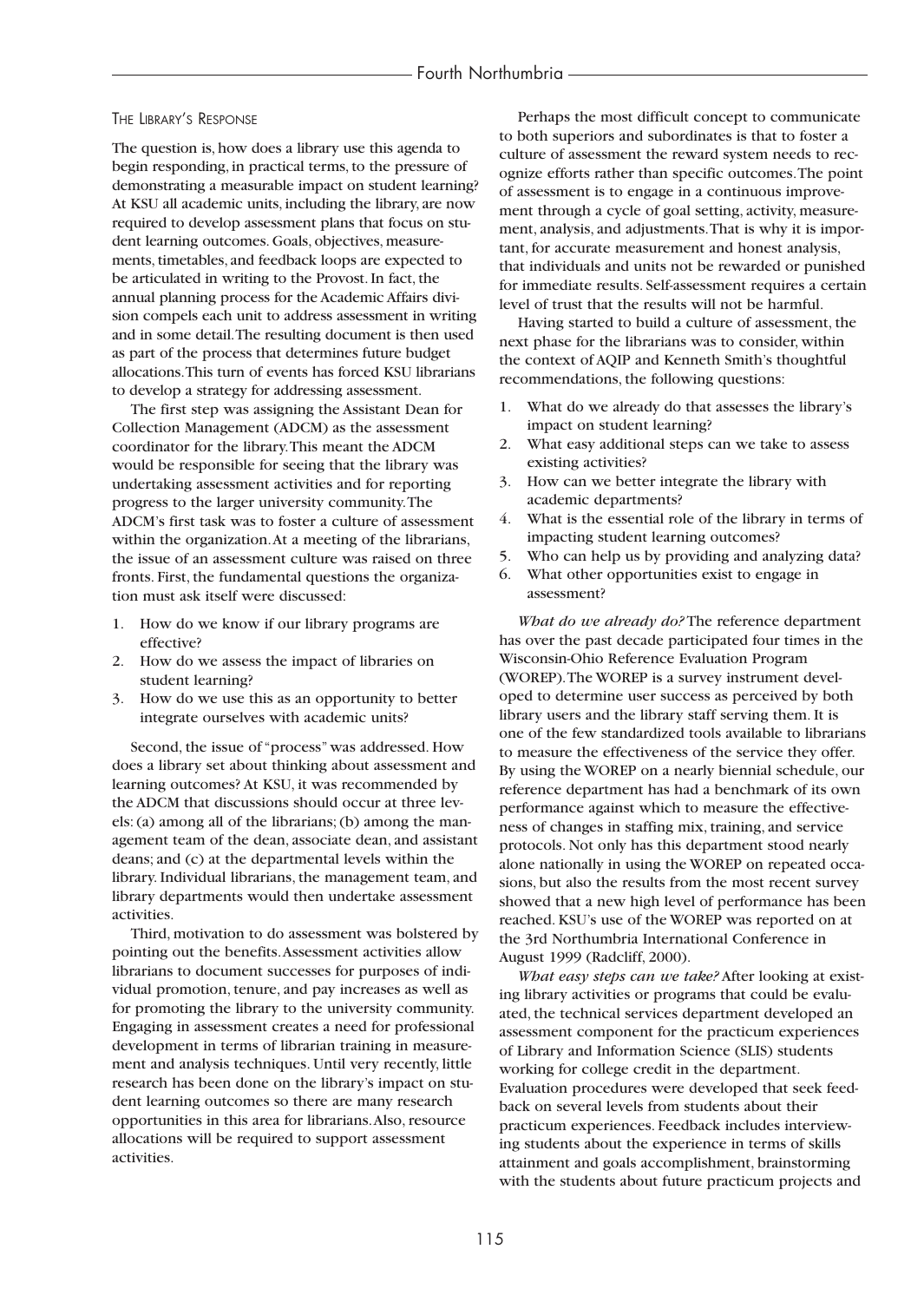#### THE LIBRARY'S RESPONSE

The question is, how does a library use this agenda to begin responding, in practical terms, to the pressure of demonstrating a measurable impact on student learning? At KSU all academic units, including the library, are now required to develop assessment plans that focus on student learning outcomes. Goals, objectives, measurements, timetables, and feedback loops are expected to be articulated in writing to the Provost. In fact, the annual planning process for the Academic Affairs division compels each unit to address assessment in writing and in some detail.The resulting document is then used as part of the process that determines future budget allocations.This turn of events has forced KSU librarians to develop a strategy for addressing assessment.

The first step was assigning the Assistant Dean for Collection Management (ADCM) as the assessment coordinator for the library.This meant the ADCM would be responsible for seeing that the library was undertaking assessment activities and for reporting progress to the larger university community.The ADCM's first task was to foster a culture of assessment within the organization.At a meeting of the librarians, the issue of an assessment culture was raised on three fronts. First, the fundamental questions the organization must ask itself were discussed:

- 1. How do we know if our library programs are effective?
- 2. How do we assess the impact of libraries on student learning?
- 3. How do we use this as an opportunity to better integrate ourselves with academic units?

Second, the issue of "process" was addressed. How does a library set about thinking about assessment and learning outcomes? At KSU, it was recommended by the ADCM that discussions should occur at three levels: (a) among all of the librarians; (b) among the management team of the dean, associate dean, and assistant deans; and (c) at the departmental levels within the library. Individual librarians, the management team, and library departments would then undertake assessment activities.

Third, motivation to do assessment was bolstered by pointing out the benefits.Assessment activities allow librarians to document successes for purposes of individual promotion, tenure, and pay increases as well as for promoting the library to the university community. Engaging in assessment creates a need for professional development in terms of librarian training in measurement and analysis techniques. Until very recently, little research has been done on the library's impact on student learning outcomes so there are many research opportunities in this area for librarians.Also, resource allocations will be required to support assessment activities.

Perhaps the most difficult concept to communicate to both superiors and subordinates is that to foster a culture of assessment the reward system needs to recognize efforts rather than specific outcomes.The point of assessment is to engage in a continuous improvement through a cycle of goal setting, activity, measurement, analysis, and adjustments.That is why it is important, for accurate measurement and honest analysis, that individuals and units not be rewarded or punished for immediate results. Self-assessment requires a certain level of trust that the results will not be harmful.

Having started to build a culture of assessment, the next phase for the librarians was to consider, within the context of AQIP and Kenneth Smith's thoughtful recommendations, the following questions:

- 1. What do we already do that assesses the library's impact on student learning?
- 2. What easy additional steps can we take to assess existing activities?
- 3. How can we better integrate the library with academic departments?
- 4. What is the essential role of the library in terms of impacting student learning outcomes?
- 5. Who can help us by providing and analyzing data?
- 6. What other opportunities exist to engage in assessment?

*What do we already do?* The reference department has over the past decade participated four times in the Wisconsin-Ohio Reference Evaluation Program (WOREP).The WOREP is a survey instrument developed to determine user success as perceived by both library users and the library staff serving them. It is one of the few standardized tools available to librarians to measure the effectiveness of the service they offer. By using the WOREP on a nearly biennial schedule, our reference department has had a benchmark of its own performance against which to measure the effectiveness of changes in staffing mix, training, and service protocols. Not only has this department stood nearly alone nationally in using the WOREP on repeated occasions, but also the results from the most recent survey showed that a new high level of performance has been reached. KSU's use of the WOREP was reported on at the 3rd Northumbria International Conference in August 1999 (Radcliff, 2000).

*What easy steps can we take?* After looking at existing library activities or programs that could be evaluated, the technical services department developed an assessment component for the practicum experiences of Library and Information Science (SLIS) students working for college credit in the department. Evaluation procedures were developed that seek feedback on several levels from students about their practicum experiences. Feedback includes interviewing students about the experience in terms of skills attainment and goals accomplishment, brainstorming with the students about future practicum projects and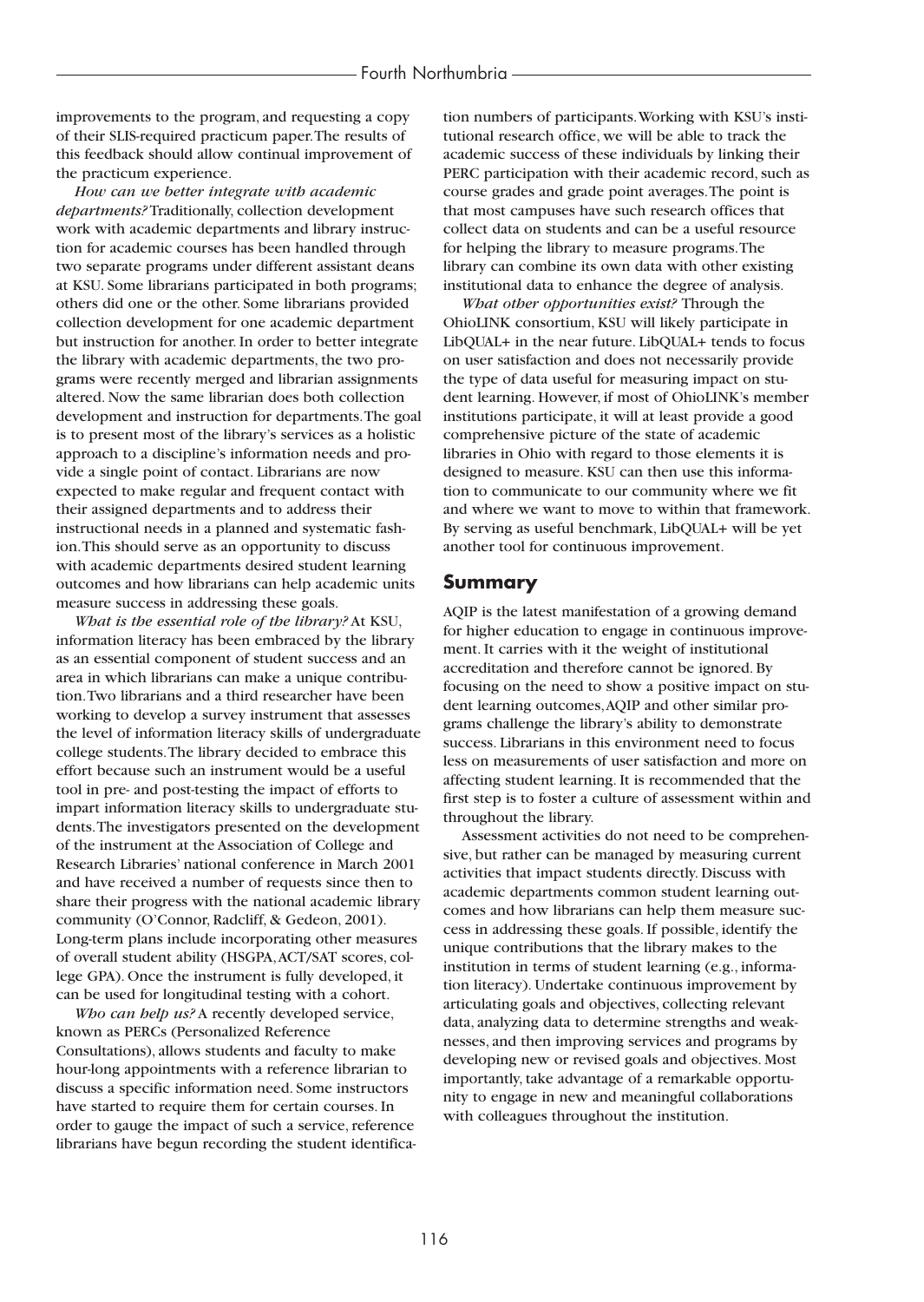#### Fourth Northumbria

improvements to the program, and requesting a copy of their SLIS-required practicum paper.The results of this feedback should allow continual improvement of the practicum experience.

*How can we better integrate with academic departments?* Traditionally, collection development work with academic departments and library instruction for academic courses has been handled through two separate programs under different assistant deans at KSU. Some librarians participated in both programs; others did one or the other. Some librarians provided collection development for one academic department but instruction for another. In order to better integrate the library with academic departments, the two programs were recently merged and librarian assignments altered. Now the same librarian does both collection development and instruction for departments.The goal is to present most of the library's services as a holistic approach to a discipline's information needs and provide a single point of contact. Librarians are now expected to make regular and frequent contact with their assigned departments and to address their instructional needs in a planned and systematic fashion.This should serve as an opportunity to discuss with academic departments desired student learning outcomes and how librarians can help academic units measure success in addressing these goals.

*What is the essential role of the library?* At KSU, information literacy has been embraced by the library as an essential component of student success and an area in which librarians can make a unique contribution.Two librarians and a third researcher have been working to develop a survey instrument that assesses the level of information literacy skills of undergraduate college students.The library decided to embrace this effort because such an instrument would be a useful tool in pre- and post-testing the impact of efforts to impart information literacy skills to undergraduate students.The investigators presented on the development of the instrument at the Association of College and Research Libraries' national conference in March 2001 and have received a number of requests since then to share their progress with the national academic library community (O'Connor, Radcliff, & Gedeon, 2001). Long-term plans include incorporating other measures of overall student ability (HSGPA,ACT/SAT scores, college GPA). Once the instrument is fully developed, it can be used for longitudinal testing with a cohort.

*Who can help us?* A recently developed service, known as PERCs (Personalized Reference Consultations), allows students and faculty to make hour-long appointments with a reference librarian to discuss a specific information need. Some instructors have started to require them for certain courses. In order to gauge the impact of such a service, reference librarians have begun recording the student identification numbers of participants.Working with KSU's institutional research office, we will be able to track the academic success of these individuals by linking their PERC participation with their academic record, such as course grades and grade point averages.The point is that most campuses have such research offices that collect data on students and can be a useful resource for helping the library to measure programs.The library can combine its own data with other existing institutional data to enhance the degree of analysis.

*What other opportunities exist?* Through the OhioLINK consortium, KSU will likely participate in LibQUAL+ in the near future. LibQUAL+ tends to focus on user satisfaction and does not necessarily provide the type of data useful for measuring impact on student learning. However, if most of OhioLINK's member institutions participate, it will at least provide a good comprehensive picture of the state of academic libraries in Ohio with regard to those elements it is designed to measure. KSU can then use this information to communicate to our community where we fit and where we want to move to within that framework. By serving as useful benchmark, LibQUAL+ will be yet another tool for continuous improvement.

## **Summary**

AQIP is the latest manifestation of a growing demand for higher education to engage in continuous improvement. It carries with it the weight of institutional accreditation and therefore cannot be ignored. By focusing on the need to show a positive impact on student learning outcomes,AQIP and other similar programs challenge the library's ability to demonstrate success. Librarians in this environment need to focus less on measurements of user satisfaction and more on affecting student learning. It is recommended that the first step is to foster a culture of assessment within and throughout the library.

Assessment activities do not need to be comprehensive, but rather can be managed by measuring current activities that impact students directly. Discuss with academic departments common student learning outcomes and how librarians can help them measure success in addressing these goals. If possible, identify the unique contributions that the library makes to the institution in terms of student learning (e.g., information literacy). Undertake continuous improvement by articulating goals and objectives, collecting relevant data, analyzing data to determine strengths and weaknesses, and then improving services and programs by developing new or revised goals and objectives. Most importantly, take advantage of a remarkable opportunity to engage in new and meaningful collaborations with colleagues throughout the institution.